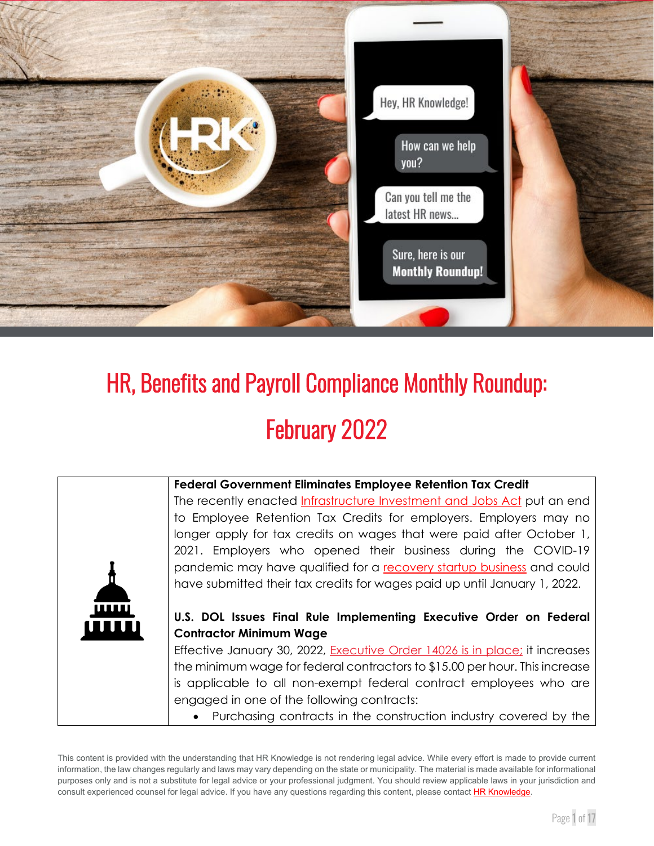

# HR, Benefits and Payroll Compliance Monthly Roundup: February 2022

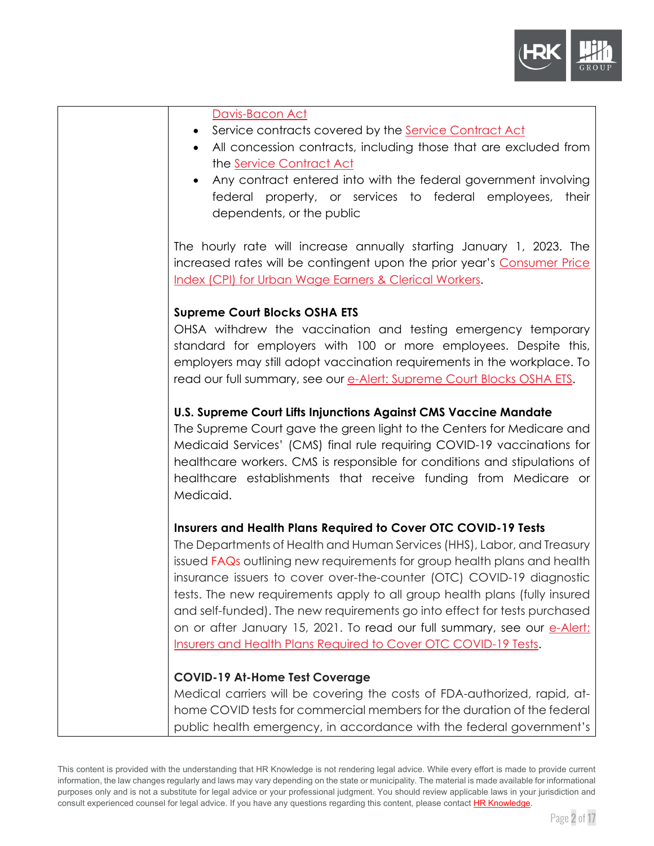

| Davis-Bacon Act<br>Service contracts covered by the Service Contract Act<br>All concession contracts, including those that are excluded from<br>the Service Contract Act<br>Any contract entered into with the federal government involving<br>federal property, or services to federal employees,<br>their<br>dependents, or the public                                                                                                                                                                                                                                                                 |
|----------------------------------------------------------------------------------------------------------------------------------------------------------------------------------------------------------------------------------------------------------------------------------------------------------------------------------------------------------------------------------------------------------------------------------------------------------------------------------------------------------------------------------------------------------------------------------------------------------|
| The hourly rate will increase annually starting January 1, 2023. The<br>increased rates will be contingent upon the prior year's Consumer Price<br>Index (CPI) for Urban Wage Earners & Clerical Workers.                                                                                                                                                                                                                                                                                                                                                                                                |
| <b>Supreme Court Blocks OSHA ETS</b><br>OHSA withdrew the vaccination and testing emergency temporary<br>standard for employers with 100 or more employees. Despite this,<br>employers may still adopt vaccination requirements in the workplace. To<br>read our full summary, see our e-Alert: Supreme Court Blocks OSHA ETS.                                                                                                                                                                                                                                                                           |
| U.S. Supreme Court Lifts Injunctions Against CMS Vaccine Mandate<br>The Supreme Court gave the green light to the Centers for Medicare and<br>Medicaid Services' (CMS) final rule requiring COVID-19 vaccinations for<br>healthcare workers. CMS is responsible for conditions and stipulations of<br>healthcare establishments that receive funding from Medicare or<br>Medicaid.                                                                                                                                                                                                                       |
| Insurers and Health Plans Required to Cover OTC COVID-19 Tests<br>The Departments of Health and Human Services (HHS), Labor, and Treasury<br>issued FAQs outlining new requirements for group health plans and health<br>insurance issuers to cover over-the-counter (OTC) COVID-19 diagnostic<br>tests. The new requirements apply to all group health plans (fully insured<br>and self-funded). The new requirements go into effect for tests purchased<br>on or after January 15, 2021. To read our full summary, see our e-Alert:<br>Insurers and Health Plans Required to Cover OTC COVID-19 Tests. |
| <b>COVID-19 At-Home Test Coverage</b><br>Medical carriers will be covering the costs of FDA-authorized, rapid, at-<br>home COVID tests for commercial members for the duration of the federal<br>public health emergency, in accordance with the federal government's                                                                                                                                                                                                                                                                                                                                    |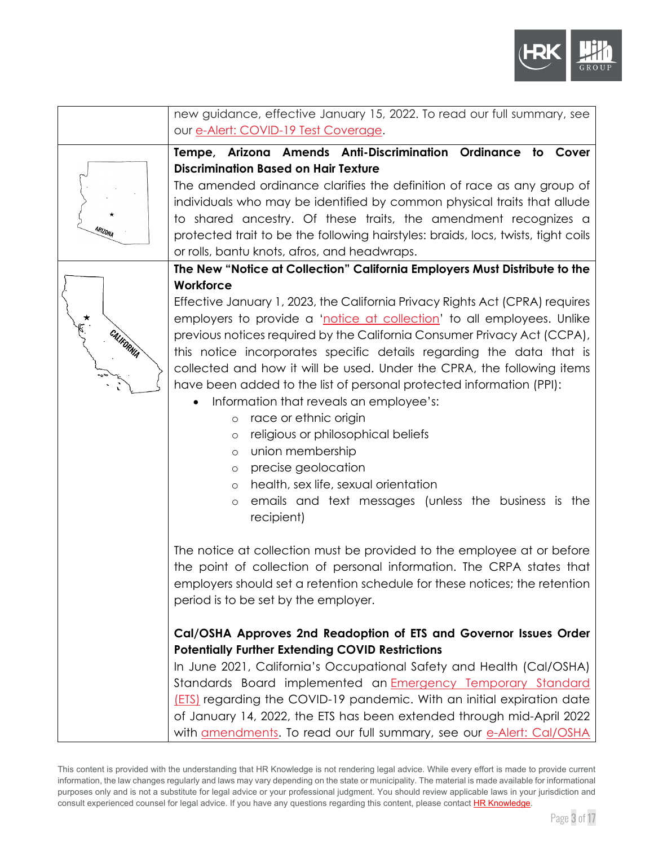

|            | new guidance, effective January 15, 2022. To read our full summary, see                                                                        |
|------------|------------------------------------------------------------------------------------------------------------------------------------------------|
|            | our e-Alert: COVID-19 Test Coverage.                                                                                                           |
|            | Tempe, Arizona Amends Anti-Discrimination Ordinance to Cover                                                                                   |
|            | <b>Discrimination Based on Hair Texture</b>                                                                                                    |
|            | The amended ordinance clarifies the definition of race as any group of                                                                         |
|            | individuals who may be identified by common physical traits that allude                                                                        |
|            | to shared ancestry. Of these traits, the amendment recognizes a                                                                                |
| ARIZONA    | protected trait to be the following hairstyles: braids, locs, twists, tight coils                                                              |
|            | or rolls, bantu knots, afros, and headwraps.                                                                                                   |
|            | The New "Notice at Collection" California Employers Must Distribute to the                                                                     |
|            | Workforce                                                                                                                                      |
|            | Effective January 1, 2023, the California Privacy Rights Act (CPRA) requires                                                                   |
|            | employers to provide a 'notice at collection' to all employees. Unlike                                                                         |
| CALIFORNIA | previous notices required by the California Consumer Privacy Act (CCPA),                                                                       |
|            | this notice incorporates specific details regarding the data that is<br>collected and how it will be used. Under the CPRA, the following items |
|            | have been added to the list of personal protected information (PPI):                                                                           |
|            | Information that reveals an employee's:<br>$\bullet$                                                                                           |
|            | race or ethnic origin<br>$\circ$                                                                                                               |
|            | religious or philosophical beliefs<br>$\circ$                                                                                                  |
|            | union membership<br>$\circ$                                                                                                                    |
|            | precise geolocation<br>$\circ$                                                                                                                 |
|            | health, sex life, sexual orientation<br>$\circ$                                                                                                |
|            | emails and text messages (unless the business is the<br>$\circ$                                                                                |
|            | recipient)                                                                                                                                     |
|            |                                                                                                                                                |
|            | The notice at collection must be provided to the employee at or before                                                                         |
|            | the point of collection of personal information. The CRPA states that                                                                          |
|            | employers should set a retention schedule for these notices; the retention<br>period is to be set by the employer.                             |
|            |                                                                                                                                                |
|            | Cal/OSHA Approves 2nd Readoption of ETS and Governor Issues Order                                                                              |
|            | <b>Potentially Further Extending COVID Restrictions</b>                                                                                        |
|            | In June 2021, California's Occupational Safety and Health (Cal/OSHA)                                                                           |
|            | Standards Board implemented an <b>Emergency Temporary Standard</b>                                                                             |
|            | [ETS] regarding the COVID-19 pandemic. With an initial expiration date                                                                         |
|            | of January 14, 2022, the ETS has been extended through mid-April 2022                                                                          |
|            | with amendments. To read our full summary, see our e-Alert: Cal/OSHA                                                                           |

This content is provided with the understanding that HR Knowledge is not rendering legal advice. While every effort is made to provide current information, the law changes regularly and laws may vary depending on the state or municipality. The material is made available for informational purposes only and is not a substitute for legal advice or your professional judgment. You should review applicable laws in your jurisdiction and consult experienced counsel for legal advice. If you have any questions regarding this content, please contact **HR Knowledge**.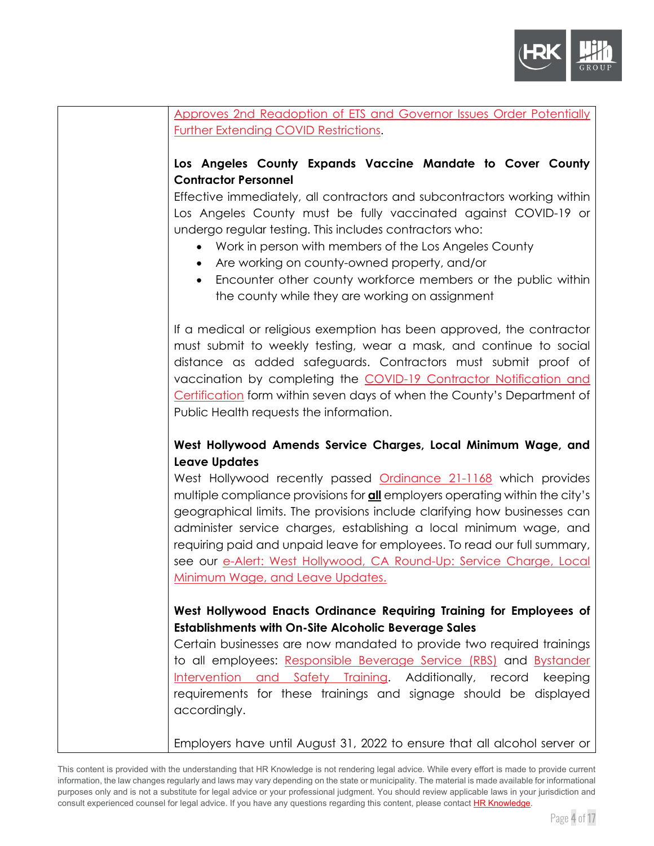

| Approves 2nd Readoption of ETS and Governor Issues Order Potentially                                                                            |
|-------------------------------------------------------------------------------------------------------------------------------------------------|
| Further Extending COVID Restrictions.                                                                                                           |
|                                                                                                                                                 |
| Los Angeles County Expands Vaccine Mandate to Cover County                                                                                      |
| <b>Contractor Personnel</b>                                                                                                                     |
| Effective immediately, all contractors and subcontractors working within                                                                        |
| Los Angeles County must be fully vaccinated against COVID-19 or                                                                                 |
| undergo regular testing. This includes contractors who:                                                                                         |
| • Work in person with members of the Los Angeles County                                                                                         |
| Are working on county-owned property, and/or<br>$\bullet$                                                                                       |
| Encounter other county workforce members or the public within                                                                                   |
| the county while they are working on assignment                                                                                                 |
|                                                                                                                                                 |
| If a medical or religious exemption has been approved, the contractor                                                                           |
| must submit to weekly testing, wear a mask, and continue to social                                                                              |
| distance as added safeguards. Contractors must submit proof of                                                                                  |
| vaccination by completing the COVID-19 Contractor Notification and                                                                              |
| Certification form within seven days of when the County's Department of                                                                         |
| Public Health requests the information.                                                                                                         |
|                                                                                                                                                 |
|                                                                                                                                                 |
| West Hollywood Amends Service Charges, Local Minimum Wage, and                                                                                  |
| <b>Leave Updates</b>                                                                                                                            |
| West Hollywood recently passed Ordinance 21-1168 which provides                                                                                 |
| multiple compliance provisions for <b>all</b> employers operating within the city's                                                             |
| geographical limits. The provisions include clarifying how businesses can                                                                       |
| administer service charges, establishing a local minimum wage, and                                                                              |
| requiring paid and unpaid leave for employees. To read our full summary,<br>see our e-Alert: West Hollywood, CA Round-Up: Service Charge, Local |
| <u>Minimum Wage, and Leave Updates.</u>                                                                                                         |
|                                                                                                                                                 |
| West Hollywood Enacts Ordinance Requiring Training for Employees of                                                                             |
| <b>Establishments with On-Site Alcoholic Beverage Sales</b>                                                                                     |
| Certain businesses are now mandated to provide two required trainings                                                                           |
| to all employees: Responsible Beverage Service (RBS) and Bystander                                                                              |
| Intervention and Safety Training. Additionally, record keeping                                                                                  |
| requirements for these trainings and signage should be displayed                                                                                |
| accordingly.                                                                                                                                    |
| Employers have until August 31, 2022 to ensure that all alcohol server or                                                                       |

This content is provided with the understanding that HR Knowledge is not rendering legal advice. While every effort is made to provide current information, the law changes regularly and laws may vary depending on the state or municipality. The material is made available for informational purposes only and is not a substitute for legal advice or your professional judgment. You should review applicable laws in your jurisdiction and consult experienced counsel for legal advice. If you have any questions regarding this content, please contac[t HR Knowledge.](mailto:marketing@hrknowledge.com)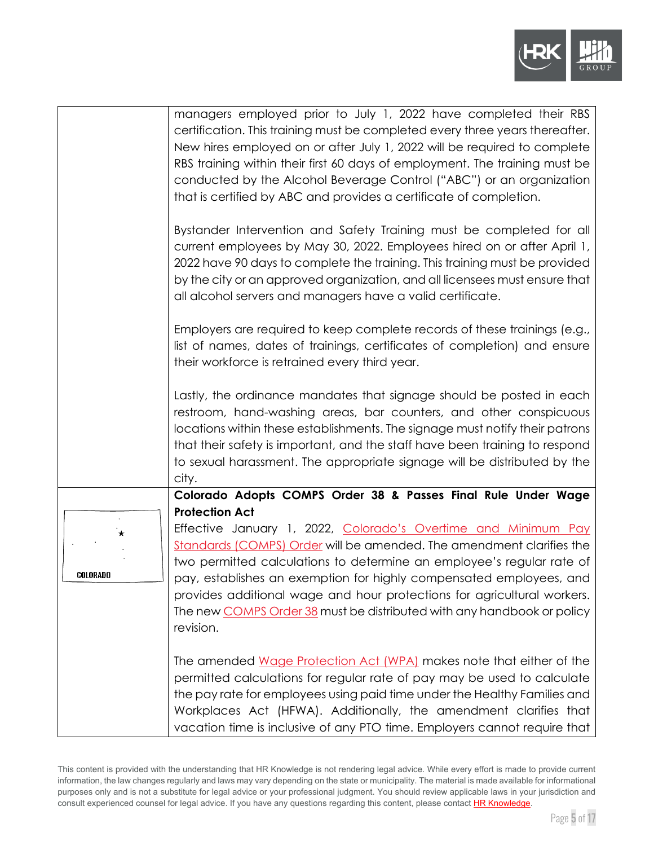

|                     | managers employed prior to July 1, 2022 have completed their RBS<br>certification. This training must be completed every three years thereafter.                                                                                                                                                                                                                                                                                                                                  |
|---------------------|-----------------------------------------------------------------------------------------------------------------------------------------------------------------------------------------------------------------------------------------------------------------------------------------------------------------------------------------------------------------------------------------------------------------------------------------------------------------------------------|
|                     | New hires employed on or after July 1, 2022 will be required to complete<br>RBS training within their first 60 days of employment. The training must be<br>conducted by the Alcohol Beverage Control ("ABC") or an organization<br>that is certified by ABC and provides a certificate of completion.                                                                                                                                                                             |
|                     | Bystander Intervention and Safety Training must be completed for all<br>current employees by May 30, 2022. Employees hired on or after April 1,<br>2022 have 90 days to complete the training. This training must be provided<br>by the city or an approved organization, and all licensees must ensure that<br>all alcohol servers and managers have a valid certificate.                                                                                                        |
|                     | Employers are required to keep complete records of these trainings (e.g.,<br>list of names, dates of trainings, certificates of completion) and ensure<br>their workforce is retrained every third year.                                                                                                                                                                                                                                                                          |
|                     | Lastly, the ordinance mandates that signage should be posted in each<br>restroom, hand-washing areas, bar counters, and other conspicuous<br>locations within these establishments. The signage must notify their patrons<br>that their safety is important, and the staff have been training to respond<br>to sexual harassment. The appropriate signage will be distributed by the<br>city.                                                                                     |
|                     | Colorado Adopts COMPS Order 38 & Passes Final Rule Under Wage                                                                                                                                                                                                                                                                                                                                                                                                                     |
| $\star$<br>COLORADO | <b>Protection Act</b><br>Effective January 1, 2022, Colorado's Overtime and Minimum Pay<br>Standards (COMPS) Order will be amended. The amendment clarifies the<br>two permitted calculations to determine an employee's regular rate of<br>pay, establishes an exemption for highly compensated employees, and<br>provides additional wage and hour protections for agricultural workers.<br>The new COMPS Order 38 must be distributed with any handbook or policy<br>revision. |
|                     | The amended Wage Protection Act (WPA) makes note that either of the<br>permitted calculations for regular rate of pay may be used to calculate<br>the pay rate for employees using paid time under the Healthy Families and<br>Workplaces Act (HFWA). Additionally, the amendment clarifies that<br>vacation time is inclusive of any PTO time. Employers cannot require that                                                                                                     |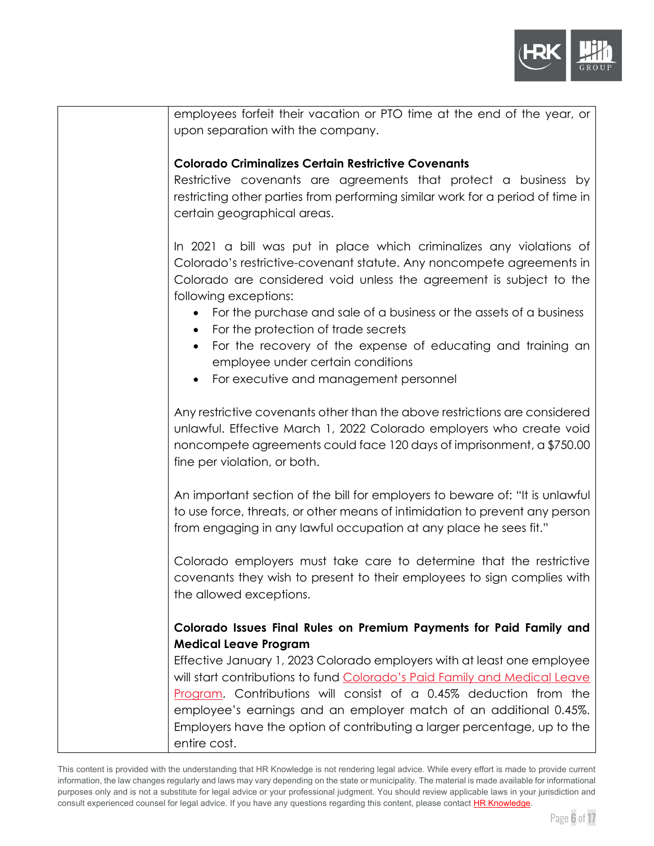

| employees forfeit their vacation or PTO time at the end of the year, or                                                                       |
|-----------------------------------------------------------------------------------------------------------------------------------------------|
| upon separation with the company.                                                                                                             |
|                                                                                                                                               |
| <b>Colorado Criminalizes Certain Restrictive Covenants</b>                                                                                    |
| Restrictive covenants are agreements that protect a business by                                                                               |
| restricting other parties from performing similar work for a period of time in<br>certain geographical areas.                                 |
|                                                                                                                                               |
| In 2021 a bill was put in place which criminalizes any violations of                                                                          |
| Colorado's restrictive-covenant statute. Any noncompete agreements in                                                                         |
| Colorado are considered void unless the agreement is subject to the                                                                           |
| following exceptions:                                                                                                                         |
| For the purchase and sale of a business or the assets of a business<br>$\bullet$<br>For the protection of trade secrets                       |
| For the recovery of the expense of educating and training an<br>$\bullet$                                                                     |
| employee under certain conditions                                                                                                             |
| For executive and management personnel                                                                                                        |
|                                                                                                                                               |
| Any restrictive covenants other than the above restrictions are considered                                                                    |
| unlawful. Effective March 1, 2022 Colorado employers who create void<br>noncompete agreements could face 120 days of imprisonment, a \$750.00 |
| fine per violation, or both.                                                                                                                  |
|                                                                                                                                               |
| An important section of the bill for employers to beware of: "It is unlawful                                                                  |
| to use force, threats, or other means of intimidation to prevent any person                                                                   |
| from engaging in any lawful occupation at any place he sees fit."                                                                             |
|                                                                                                                                               |
| Colorado employers must take care to determine that the restrictive                                                                           |
| covenants they wish to present to their employees to sign complies with<br>the allowed exceptions.                                            |
|                                                                                                                                               |
| Colorado Issues Final Rules on Premium Payments for Paid Family and                                                                           |
| <b>Medical Leave Program</b>                                                                                                                  |
| Effective January 1, 2023 Colorado employers with at least one employee                                                                       |
| will start contributions to fund Colorado's Paid Family and Medical Leave                                                                     |
| Program. Contributions will consist of a 0.45% deduction from the                                                                             |
| employee's earnings and an employer match of an additional 0.45%.                                                                             |
| Employers have the option of contributing a larger percentage, up to the                                                                      |
| entire cost.                                                                                                                                  |

This content is provided with the understanding that HR Knowledge is not rendering legal advice. While every effort is made to provide current information, the law changes regularly and laws may vary depending on the state or municipality. The material is made available for informational purposes only and is not a substitute for legal advice or your professional judgment. You should review applicable laws in your jurisdiction and consult experienced counsel for legal advice. If you have any questions regarding this content, please contac[t HR Knowledge.](mailto:marketing@hrknowledge.com)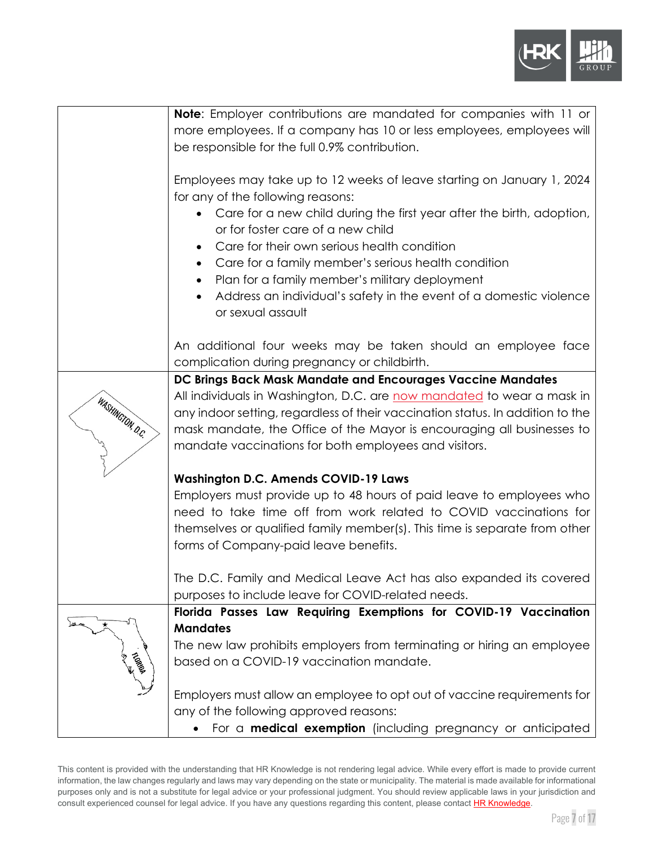

|                  | Note: Employer contributions are mandated for companies with 11 or             |
|------------------|--------------------------------------------------------------------------------|
|                  | more employees. If a company has 10 or less employees, employees will          |
|                  | be responsible for the full 0.9% contribution.                                 |
|                  |                                                                                |
|                  | Employees may take up to 12 weeks of leave starting on January 1, 2024         |
|                  | for any of the following reasons:                                              |
|                  | Care for a new child during the first year after the birth, adoption,          |
|                  | or for foster care of a new child                                              |
|                  | Care for their own serious health condition<br>$\bullet$                       |
|                  | Care for a family member's serious health condition                            |
|                  | Plan for a family member's military deployment                                 |
|                  | Address an individual's safety in the event of a domestic violence             |
|                  | or sexual assault                                                              |
|                  |                                                                                |
|                  | An additional four weeks may be taken should an employee face                  |
|                  | complication during pregnancy or childbirth.                                   |
|                  | DC Brings Back Mask Mandate and Encourages Vaccine Mandates                    |
|                  | All individuals in Washington, D.C. are now mandated to wear a mask in         |
|                  | any indoor setting, regardless of their vaccination status. In addition to the |
| WASHINGTON, D.C. | mask mandate, the Office of the Mayor is encouraging all businesses to         |
|                  | mandate vaccinations for both employees and visitors.                          |
|                  |                                                                                |
|                  | <b>Washington D.C. Amends COVID-19 Laws</b>                                    |
|                  | Employers must provide up to 48 hours of paid leave to employees who           |
|                  | need to take time off from work related to COVID vaccinations for              |
|                  | themselves or qualified family member(s). This time is separate from other     |
|                  | forms of Company-paid leave benefits.                                          |
|                  |                                                                                |
|                  | The D.C. Family and Medical Leave Act has also expanded its covered            |
|                  | purposes to include leave for COVID-related needs.                             |
|                  | Florida Passes Law Requiring Exemptions for COVID-19 Vaccination               |
|                  | <b>Mandates</b>                                                                |
|                  | The new law prohibits employers from terminating or hiring an employee         |
| Tropique         | based on a COVID-19 vaccination mandate.                                       |
|                  |                                                                                |
|                  | Employers must allow an employee to opt out of vaccine requirements for        |
|                  | any of the following approved reasons:                                         |
|                  | For a <b>medical exemption</b> (including pregnancy or anticipated             |

This content is provided with the understanding that HR Knowledge is not rendering legal advice. While every effort is made to provide current information, the law changes regularly and laws may vary depending on the state or municipality. The material is made available for informational purposes only and is not a substitute for legal advice or your professional judgment. You should review applicable laws in your jurisdiction and consult experienced counsel for legal advice. If you have any questions regarding this content, please contac[t HR Knowledge.](mailto:marketing@hrknowledge.com)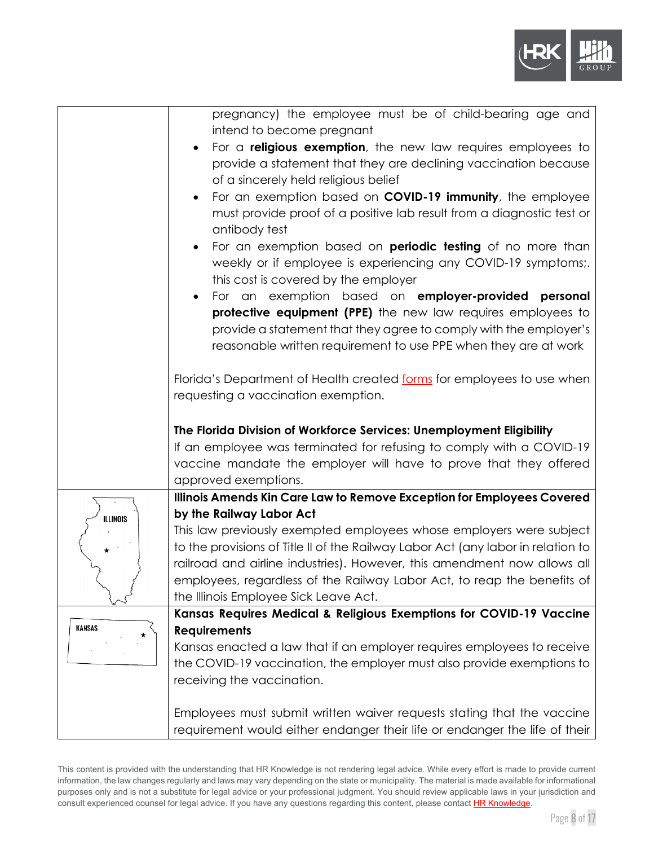

| pregnancy) the employee must be of child-bearing age and<br>intend to become pregnant                         |
|---------------------------------------------------------------------------------------------------------------|
| For a <b>religious exemption</b> , the new law requires employees to                                          |
| provide a statement that they are declining vaccination because                                               |
| of a sincerely held religious belief                                                                          |
| For an exemption based on <b>COVID-19 immunity</b> , the employee                                             |
| must provide proof of a positive lab result from a diagnostic test or                                         |
| antibody test                                                                                                 |
| For an exemption based on <b>periodic testing</b> of no more than<br>$\bullet$                                |
| weekly or if employee is experiencing any COVID-19 symptoms;.                                                 |
| this cost is covered by the employer                                                                          |
| For an exemption based on <b>employer-provided</b><br>personal<br>$\bullet$                                   |
| protective equipment (PPE) the new law requires employees to                                                  |
| provide a statement that they agree to comply with the employer's                                             |
| reasonable written requirement to use PPE when they are at work                                               |
|                                                                                                               |
| Florida's Department of Health created forms for employees to use when<br>requesting a vaccination exemption. |
|                                                                                                               |
| The Florida Division of Workforce Services: Unemployment Eligibility                                          |
| If an employee was terminated for refusing to comply with a COVID-19                                          |
| vaccine mandate the employer will have to prove that they offered                                             |
| approved exemptions.                                                                                          |
| Illinois Amends Kin Care Law to Remove Exception for Employees Covered                                        |
| by the Railway Labor Act                                                                                      |
| This law previously exempted employees whose employers were subject                                           |
| to the provisions of Title II of the Railway Labor Act (any labor in relation to                              |
| railroad and airline industries). However, this amendment now allows all                                      |
| employees, regardless of the Railway Labor Act, to reap the benefits of                                       |
| the Illinois Employee Sick Leave Act.                                                                         |
| Kansas Requires Medical & Religious Exemptions for COVID-19 Vaccine<br><b>Requirements</b>                    |
| Kansas enacted a law that if an employer requires employees to receive                                        |
| the COVID-19 vaccination, the employer must also provide exemptions to                                        |
| receiving the vaccination.                                                                                    |
|                                                                                                               |
| Employees must submit written waiver requests stating that the vaccine                                        |
| requirement would either endanger their life or endanger the life of their                                    |
|                                                                                                               |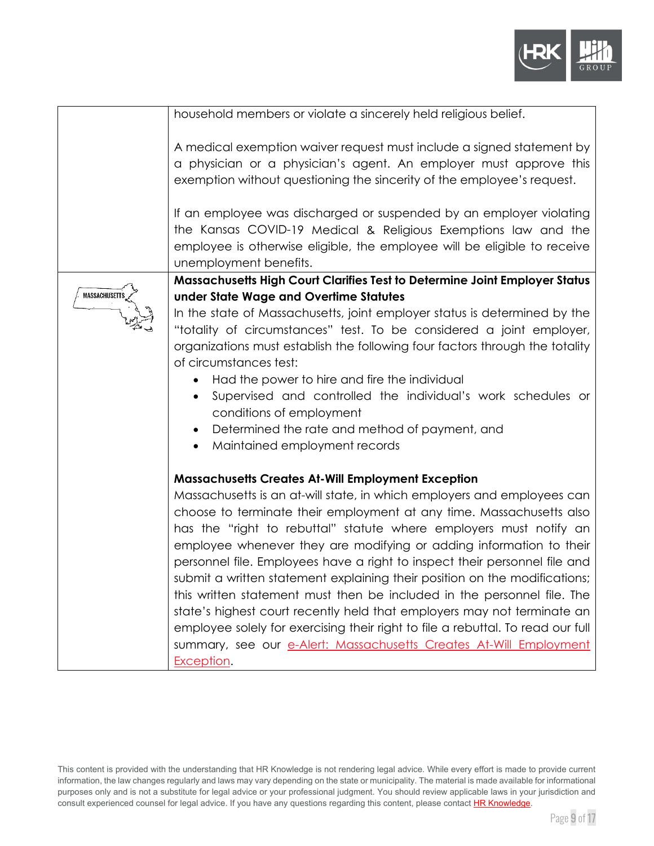

|                      | household members or violate a sincerely held religious belief.                                                                                                                                                                                                                                                                                                                                                                                                                                                                                                                                                                                                                                                                                                                                                                                    |
|----------------------|----------------------------------------------------------------------------------------------------------------------------------------------------------------------------------------------------------------------------------------------------------------------------------------------------------------------------------------------------------------------------------------------------------------------------------------------------------------------------------------------------------------------------------------------------------------------------------------------------------------------------------------------------------------------------------------------------------------------------------------------------------------------------------------------------------------------------------------------------|
|                      | A medical exemption waiver request must include a signed statement by<br>a physician or a physician's agent. An employer must approve this<br>exemption without questioning the sincerity of the employee's request.                                                                                                                                                                                                                                                                                                                                                                                                                                                                                                                                                                                                                               |
|                      | If an employee was discharged or suspended by an employer violating<br>the Kansas COVID-19 Medical & Religious Exemptions law and the<br>employee is otherwise eligible, the employee will be eligible to receive<br>unemployment benefits.                                                                                                                                                                                                                                                                                                                                                                                                                                                                                                                                                                                                        |
|                      | Massachusetts High Court Clarifies Test to Determine Joint Employer Status                                                                                                                                                                                                                                                                                                                                                                                                                                                                                                                                                                                                                                                                                                                                                                         |
| <b>MASSACHUSETTS</b> | under State Wage and Overtime Statutes<br>In the state of Massachusetts, joint employer status is determined by the<br>"totality of circumstances" test. To be considered a joint employer,<br>organizations must establish the following four factors through the totality<br>of circumstances test:<br>Had the power to hire and fire the individual<br>Supervised and controlled the individual's work schedules or<br>conditions of employment<br>Determined the rate and method of payment, and<br>Maintained employment records<br>$\bullet$                                                                                                                                                                                                                                                                                                 |
|                      | <b>Massachusetts Creates At-Will Employment Exception</b><br>Massachusetts is an at-will state, in which employers and employees can<br>choose to terminate their employment at any time. Massachusetts also<br>has the "right to rebuttal" statute where employers must notify an<br>employee whenever they are modifying or adding information to their<br>personnel file. Employees have a right to inspect their personnel file and<br>submit a written statement explaining their position on the modifications;<br>this written statement must then be included in the personnel file. The<br>state's highest court recently held that employers may not terminate an<br>employee solely for exercising their right to file a rebuttal. To read our full<br>summary, see our e-Alert: Massachusetts Creates At-Will Employment<br>Exception. |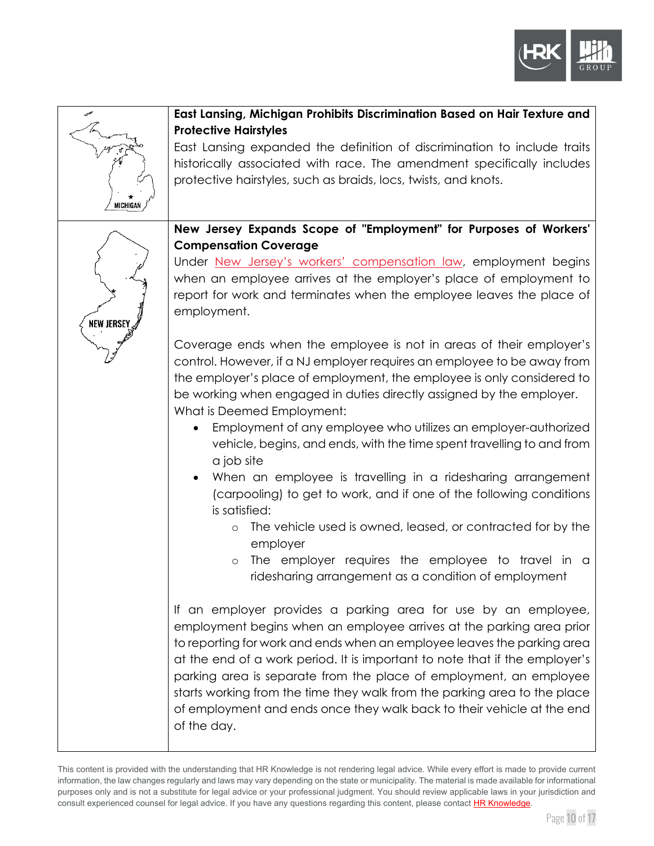



This content is provided with the understanding that HR Knowledge is not rendering legal advice. While every effort is made to provide current information, the law changes regularly and laws may vary depending on the state or municipality. The material is made available for informational purposes only and is not a substitute for legal advice or your professional judgment. You should review applicable laws in your jurisdiction and consult experienced counsel for legal advice. If you have any questions regarding this content, please contac[t HR Knowledge.](mailto:marketing@hrknowledge.com)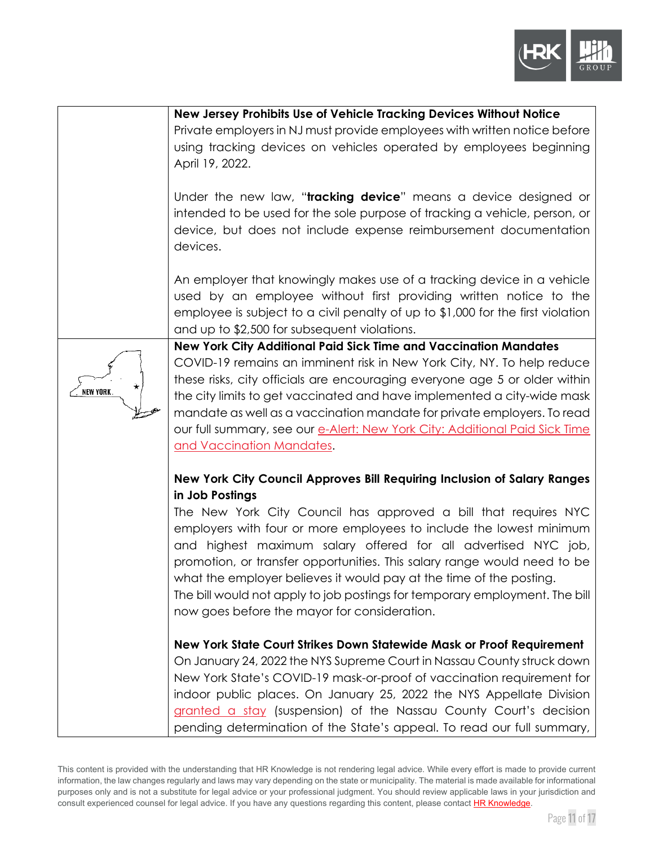

|                | New Jersey Prohibits Use of Vehicle Tracking Devices Without Notice                                                                                                                                                                                                                                                                                                                                                                                                                                                                                                                       |
|----------------|-------------------------------------------------------------------------------------------------------------------------------------------------------------------------------------------------------------------------------------------------------------------------------------------------------------------------------------------------------------------------------------------------------------------------------------------------------------------------------------------------------------------------------------------------------------------------------------------|
|                | Private employers in NJ must provide employees with written notice before<br>using tracking devices on vehicles operated by employees beginning<br>April 19, 2022.                                                                                                                                                                                                                                                                                                                                                                                                                        |
|                | Under the new law, "tracking device" means a device designed or<br>intended to be used for the sole purpose of tracking a vehicle, person, or<br>device, but does not include expense reimbursement documentation<br>devices.                                                                                                                                                                                                                                                                                                                                                             |
|                | An employer that knowingly makes use of a tracking device in a vehicle<br>used by an employee without first providing written notice to the<br>employee is subject to a civil penalty of up to $$1,000$ for the first violation<br>and up to \$2,500 for subsequent violations.                                                                                                                                                                                                                                                                                                           |
| ∗<br>NEW YORK. | New York City Additional Paid Sick Time and Vaccination Mandates<br>COVID-19 remains an imminent risk in New York City, NY. To help reduce<br>these risks, city officials are encouraging everyone age 5 or older within<br>the city limits to get vaccinated and have implemented a city-wide mask<br>mandate as well as a vaccination mandate for private employers. To read<br>our full summary, see our e-Alert: New York City: Additional Paid Sick Time<br><u>and Vaccination Mandates</u> .                                                                                        |
|                | New York City Council Approves Bill Requiring Inclusion of Salary Ranges<br>in Job Postings<br>The New York City Council has approved a bill that requires NYC<br>employers with four or more employees to include the lowest minimum<br>and highest maximum salary offered for all advertised NYC job,<br>promotion, or transfer opportunities. This salary range would need to be<br>what the employer believes it would pay at the time of the posting.<br>The bill would not apply to job postings for temporary employment. The bill<br>now goes before the mayor for consideration. |
|                | New York State Court Strikes Down Statewide Mask or Proof Requirement<br>On January 24, 2022 the NYS Supreme Court in Nassau County struck down<br>New York State's COVID-19 mask-or-proof of vaccination requirement for<br>indoor public places. On January 25, 2022 the NYS Appellate Division<br>granted a stay (suspension) of the Nassau County Court's decision<br>pending determination of the State's appeal. To read our full summary,                                                                                                                                          |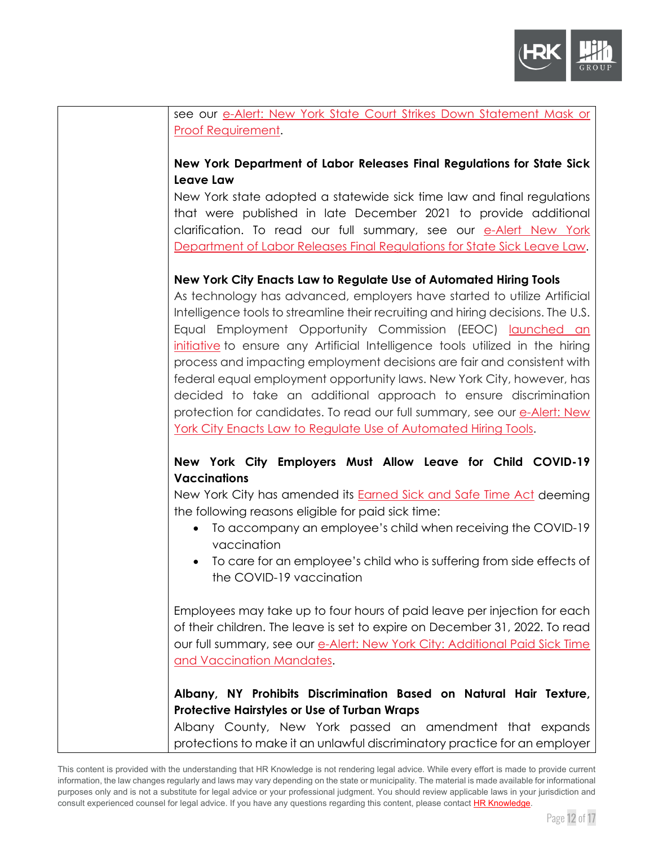

| see our e-Alert: New York State Court Strikes Down Statement Mask or                              |
|---------------------------------------------------------------------------------------------------|
| <b>Proof Requirement.</b>                                                                         |
|                                                                                                   |
| New York Department of Labor Releases Final Regulations for State Sick                            |
| <b>Leave Law</b>                                                                                  |
| New York state adopted a statewide sick time law and final regulations                            |
| that were published in late December 2021 to provide additional                                   |
| clarification. To read our full summary, see our e-Alert New York                                 |
| Department of Labor Releases Final Regulations for State Sick Leave Law.                          |
| New York City Enacts Law to Regulate Use of Automated Hiring Tools                                |
| As technology has advanced, employers have started to utilize Artificial                          |
| Intelligence tools to streamline their recruiting and hiring decisions. The U.S.                  |
| Equal Employment Opportunity Commission (EEOC) launched an                                        |
| initiative to ensure any Artificial Intelligence tools utilized in the hiring                     |
| process and impacting employment decisions are fair and consistent with                           |
| federal equal employment opportunity laws. New York City, however, has                            |
| decided to take an additional approach to ensure discrimination                                   |
| protection for candidates. To read our full summary, see our e-Alert: New                         |
| <u>York City Enacts Law to Regulate Use of Automated Hiring Tools.</u>                            |
|                                                                                                   |
| New York City Employers Must Allow Leave for Child COVID-19                                       |
| <b>Vaccinations</b>                                                                               |
| New York City has amended its <b>Earned Sick and Safe Time Act</b> deeming                        |
| the following reasons eligible for paid sick time:                                                |
| • To accompany an employee's child when receiving the COVID-19                                    |
| vaccination                                                                                       |
| To care for an employee's child who is suffering from side effects of<br>the COVID-19 vaccination |
|                                                                                                   |
| Employees may take up to four hours of paid leave per injection for each                          |
| of their children. The leave is set to expire on December 31, 2022. To read                       |
| our full summary, see our e-Alert: New York City: Additional Paid Sick Time                       |
| and Vaccination Mandates.                                                                         |
|                                                                                                   |
| Albany, NY Prohibits Discrimination Based on Natural Hair Texture,                                |
| <b>Protective Hairstyles or Use of Turban Wraps</b>                                               |
| Albany County, New York passed an amendment that expands                                          |
| protections to make it an unlawful discriminatory practice for an employer                        |

This content is provided with the understanding that HR Knowledge is not rendering legal advice. While every effort is made to provide current information, the law changes regularly and laws may vary depending on the state or municipality. The material is made available for informational purposes only and is not a substitute for legal advice or your professional judgment. You should review applicable laws in your jurisdiction and consult experienced counsel for legal advice. If you have any questions regarding this content, please contac[t HR Knowledge.](mailto:marketing@hrknowledge.com)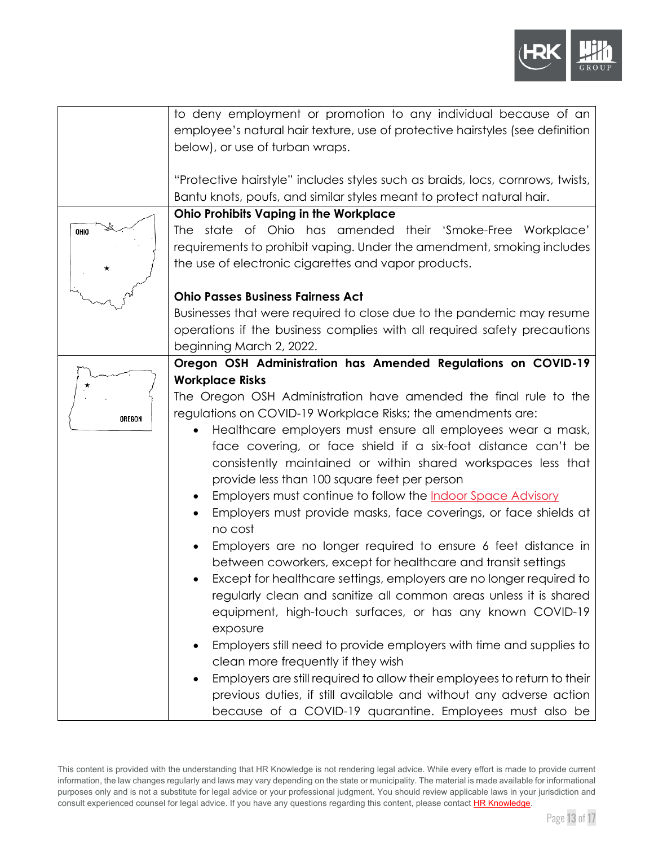

|        | to deny employment or promotion to any individual because of an<br>employee's natural hair texture, use of protective hairstyles (see definition<br>below), or use of turban wraps.          |
|--------|----------------------------------------------------------------------------------------------------------------------------------------------------------------------------------------------|
|        | "Protective hairstyle" includes styles such as braids, locs, cornrows, twists,<br>Bantu knots, poufs, and similar styles meant to protect natural hair.                                      |
|        | <b>Ohio Prohibits Vaping in the Workplace</b>                                                                                                                                                |
| OHIO   | The state of Ohio has amended their 'Smoke-Free Workplace'<br>requirements to prohibit vaping. Under the amendment, smoking includes<br>the use of electronic cigarettes and vapor products. |
|        | <b>Ohio Passes Business Fairness Act</b>                                                                                                                                                     |
|        | Businesses that were required to close due to the pandemic may resume<br>operations if the business complies with all required safety precautions<br>beginning March 2, 2022.                |
|        | Oregon OSH Administration has Amended Regulations on COVID-19                                                                                                                                |
|        | <b>Workplace Risks</b>                                                                                                                                                                       |
|        |                                                                                                                                                                                              |
|        | The Oregon OSH Administration have amended the final rule to the                                                                                                                             |
| OREGON | regulations on COVID-19 Workplace Risks; the amendments are:                                                                                                                                 |
|        | Healthcare employers must ensure all employees wear a mask,                                                                                                                                  |
|        | face covering, or face shield if a six-foot distance can't be                                                                                                                                |
|        | consistently maintained or within shared workspaces less that                                                                                                                                |
|        | provide less than 100 square feet per person                                                                                                                                                 |
|        | Employers must continue to follow the <b>Indoor Space Advisory</b><br>$\bullet$                                                                                                              |
|        | Employers must provide masks, face coverings, or face shields at<br>no cost                                                                                                                  |
|        | Employers are no longer required to ensure 6 feet distance in                                                                                                                                |
|        | between coworkers, except for healthcare and transit settings                                                                                                                                |
|        | Except for healthcare settings, employers are no longer required to                                                                                                                          |
|        | regularly clean and sanitize all common areas unless it is shared                                                                                                                            |
|        | equipment, high-touch surfaces, or has any known COVID-19                                                                                                                                    |
|        | exposure                                                                                                                                                                                     |
|        | Employers still need to provide employers with time and supplies to                                                                                                                          |
|        | clean more frequently if they wish                                                                                                                                                           |
|        | Employers are still required to allow their employees to return to their                                                                                                                     |
|        | previous duties, if still available and without any adverse action                                                                                                                           |
|        | because of a COVID-19 quarantine. Employees must also be                                                                                                                                     |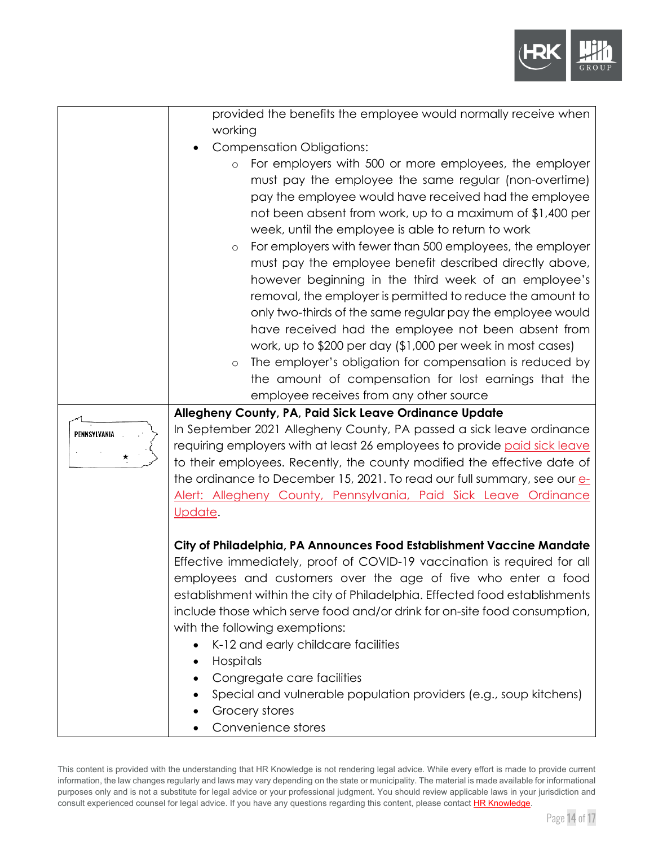

|              | provided the benefits the employee would normally receive when                                                                                    |
|--------------|---------------------------------------------------------------------------------------------------------------------------------------------------|
|              | working                                                                                                                                           |
|              | <b>Compensation Obligations:</b>                                                                                                                  |
|              | For employers with 500 or more employees, the employer<br>$\circ$                                                                                 |
|              | must pay the employee the same regular (non-overtime)                                                                                             |
|              | pay the employee would have received had the employee                                                                                             |
|              | not been absent from work, up to a maximum of \$1,400 per                                                                                         |
|              | week, until the employee is able to return to work                                                                                                |
|              | For employers with fewer than 500 employees, the employer<br>$\circ$                                                                              |
|              | must pay the employee benefit described directly above,                                                                                           |
|              | however beginning in the third week of an employee's                                                                                              |
|              | removal, the employer is permitted to reduce the amount to                                                                                        |
|              | only two-thirds of the same regular pay the employee would                                                                                        |
|              | have received had the employee not been absent from                                                                                               |
|              | work, up to \$200 per day (\$1,000 per week in most cases)                                                                                        |
|              | The employer's obligation for compensation is reduced by<br>$\circ$                                                                               |
|              | the amount of compensation for lost earnings that the                                                                                             |
|              | employee receives from any other source                                                                                                           |
|              | Allegheny County, PA, Paid Sick Leave Ordinance Update                                                                                            |
| PENNSYLVANIA | In September 2021 Allegheny County, PA passed a sick leave ordinance<br>requiring employers with at least 26 employees to provide paid sick leave |
|              | to their employees. Recently, the county modified the effective date of                                                                           |
|              | the ordinance to December 15, 2021. To read our full summary, see our e-                                                                          |
|              | Alert: Allegheny County, Pennsylvania, Paid Sick Leave Ordinance                                                                                  |
|              | Update.                                                                                                                                           |
|              |                                                                                                                                                   |
|              | City of Philadelphia, PA Announces Food Establishment Vaccine Mandate                                                                             |
|              | Effective immediately, proof of COVID-19 vaccination is required for all                                                                          |
|              | employees and customers over the age of five who enter a food                                                                                     |
|              | establishment within the city of Philadelphia. Effected food establishments                                                                       |
|              | include those which serve food and/or drink for on-site food consumption,                                                                         |
|              | with the following exemptions:                                                                                                                    |
|              | K-12 and early childcare facilities                                                                                                               |
|              | Hospitals                                                                                                                                         |
|              | Congregate care facilities                                                                                                                        |
|              | Special and vulnerable population providers (e.g., soup kitchens)                                                                                 |
|              | Grocery stores                                                                                                                                    |
|              | Convenience stores                                                                                                                                |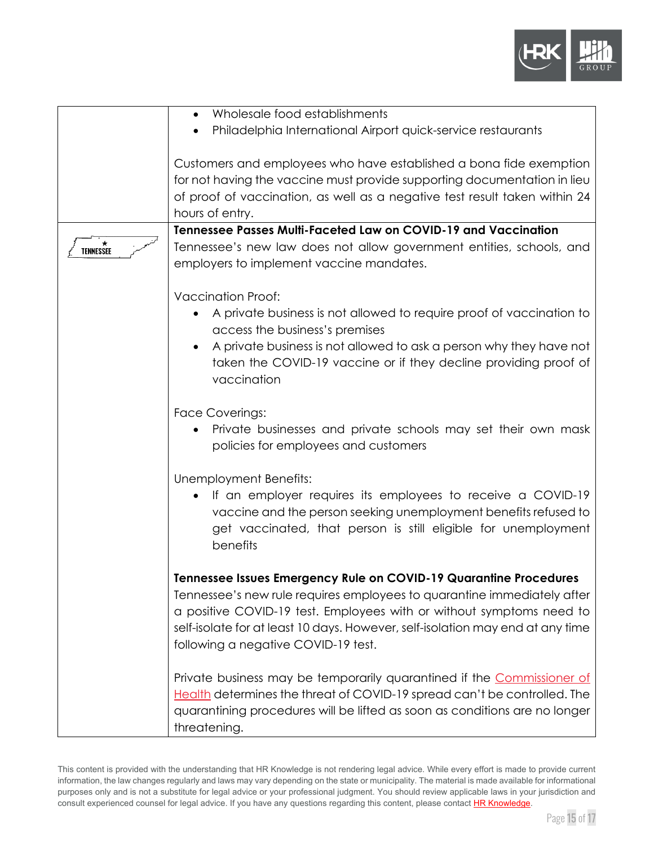

|                | Wholesale food establishments<br>Philadelphia International Airport quick-service restaurants                                                                                                                                                                                                                                                 |
|----------------|-----------------------------------------------------------------------------------------------------------------------------------------------------------------------------------------------------------------------------------------------------------------------------------------------------------------------------------------------|
|                | Customers and employees who have established a bona fide exemption<br>for not having the vaccine must provide supporting documentation in lieu<br>of proof of vaccination, as well as a negative test result taken within 24<br>hours of entry.                                                                                               |
|                | Tennessee Passes Multi-Faceted Law on COVID-19 and Vaccination                                                                                                                                                                                                                                                                                |
| ★<br>TENNESSEE | Tennessee's new law does not allow government entities, schools, and<br>employers to implement vaccine mandates.                                                                                                                                                                                                                              |
|                | <b>Vaccination Proof:</b>                                                                                                                                                                                                                                                                                                                     |
|                | A private business is not allowed to require proof of vaccination to<br>access the business's premises<br>A private business is not allowed to ask a person why they have not                                                                                                                                                                 |
|                | taken the COVID-19 vaccine or if they decline providing proof of<br>vaccination                                                                                                                                                                                                                                                               |
|                | <b>Face Coverings:</b><br>Private businesses and private schools may set their own mask<br>policies for employees and customers                                                                                                                                                                                                               |
|                | Unemployment Benefits:<br>If an employer requires its employees to receive a COVID-19<br>vaccine and the person seeking unemployment benefits refused to<br>get vaccinated, that person is still eligible for unemployment<br>benefits                                                                                                        |
|                | Tennessee Issues Emergency Rule on COVID-19 Quarantine Procedures<br>Tennessee's new rule requires employees to quarantine immediately after<br>a positive COVID-19 test. Employees with or without symptoms need to<br>self-isolate for at least 10 days. However, self-isolation may end at any time<br>following a negative COVID-19 test. |
|                | Private business may be temporarily quarantined if the Commissioner of<br>Health determines the threat of COVID-19 spread can't be controlled. The<br>quarantining procedures will be lifted as soon as conditions are no longer<br>threatening.                                                                                              |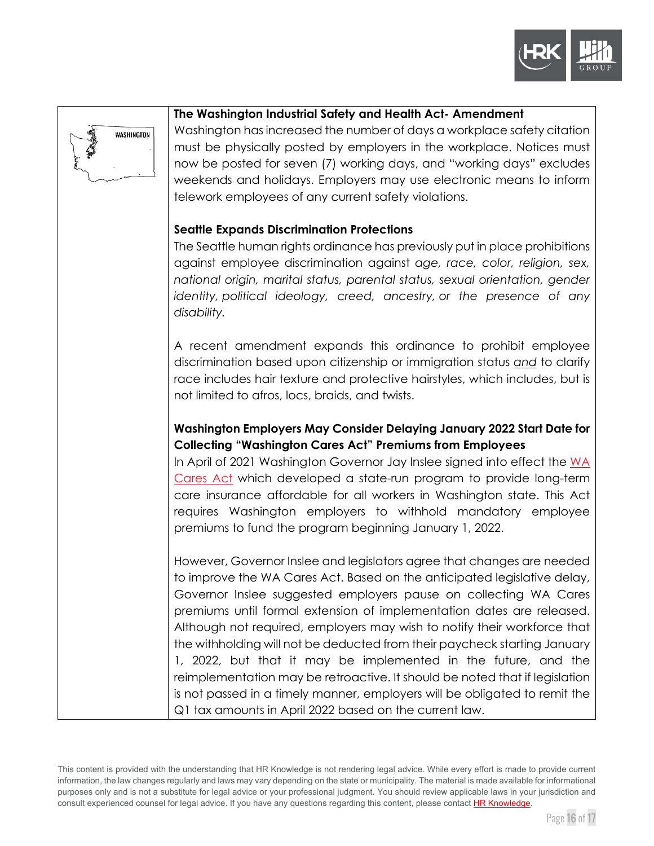



#### **The Washington Industrial Safety and Health Act- Amendment**

Washington has increased the number of days a workplace safety citation must be physically posted by employers in the workplace. Notices must now be posted for seven (7) working days, and "working days" excludes weekends and holidays. Employers may use electronic means to inform telework employees of any current safety violations.

#### **Seattle Expands Discrimination Protections**

The Seattle human rights ordinance has previously put in place prohibitions against employee discrimination against *age, race, color, religion, sex, national origin, marital status, parental status, sexual orientation, gender identity, political ideology, creed, ancestry, or the presence of any disability.* 

A recent amendment expands this ordinance to prohibit employee discrimination based upon citizenship or immigration status *and* to clarify race includes hair texture and protective hairstyles, which includes, but is not limited to afros, locs, braids, and twists.

### **Washington Employers May Consider Delaying January 2022 Start Date for Collecting "Washington Cares Act" Premiums from Employees**

In April of 2021 Washington Governor Jay Inslee signed into effect the [WA](https://wacaresfund.wa.gov/)  [Cares Act](https://wacaresfund.wa.gov/) which developed a state-run program to provide long-term care insurance affordable for all workers in Washington state. This Act requires Washington employers to withhold mandatory employee premiums to fund the program beginning January 1, 2022.

However, Governor Inslee and legislators agree that changes are needed to improve the WA Cares Act. Based on the anticipated legislative delay, Governor Inslee suggested employers pause on collecting WA Cares premiums until formal extension of implementation dates are released. Although not required, employers may wish to notify their workforce that the withholding will not be deducted from their paycheck starting January 1, 2022, but that it may be implemented in the future, and the reimplementation may be retroactive. It should be noted that if legislation is not passed in a timely manner, employers will be obligated to remit the Q1 tax amounts in April 2022 based on the current law.